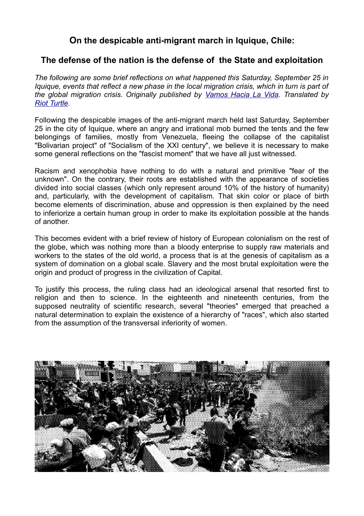## **On the despicable anti-migrant march in Iquique, Chile:**

## **The defense of the nation is the defense of the State and exploitation**

*The following are some brief reflections on what happened this Saturday, September 25 in Iquique, events that reflect a new phase in the local migration crisis, which in turn is part of the global migration crisis. Originally published by [Vamos Hacia La Vida.](https://hacialavida.noblogs.org/la-defensa-de-la-nacion-es-la-defensa-del-estado-y-la-explotacion/) Translated by [Riot Turtle.](https://kolektiva.social/@riotturtle)*

Following the despicable images of the anti-migrant march held last Saturday, September 25 in the city of Iquique, where an angry and irrational mob burned the tents and the few belongings of families, mostly from Venezuela, fleeing the collapse of the capitalist "Bolivarian project" of "Socialism of the XXI century", we believe it is necessary to make some general reflections on the "fascist moment" that we have all just witnessed.

Racism and xenophobia have nothing to do with a natural and primitive "fear of the unknown". On the contrary, their roots are established with the appearance of societies divided into social classes (which only represent around 10% of the history of humanity) and, particularly, with the development of capitalism. That skin color or place of birth become elements of discrimination, abuse and oppression is then explained by the need to inferiorize a certain human group in order to make its exploitation possible at the hands of another.

This becomes evident with a brief review of history of European colonialism on the rest of the globe, which was nothing more than a bloody enterprise to supply raw materials and workers to the states of the old world, a process that is at the genesis of capitalism as a system of domination on a global scale. Slavery and the most brutal exploitation were the origin and product of progress in the civilization of Capital.

To justify this process, the ruling class had an ideological arsenal that resorted first to religion and then to science. In the eighteenth and nineteenth centuries, from the supposed neutrality of scientific research, several "theories" emerged that preached a natural determination to explain the existence of a hierarchy of "races", which also started from the assumption of the transversal inferiority of women.